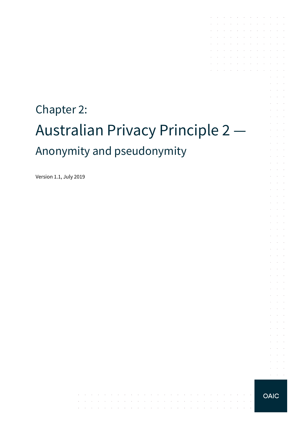# Chapter 2: Australian Privacy Principle 2 — Anonymity and pseudonymity

Version 1.1, July 2019

**OAIC** 

 $\sim 10^{-1}$ 

 $\mathcal{A}$  is a set of the set of the set of the set of  $\mathcal{A}$ 

المتعاونة والمتعاونة والمتعاونة والمتعاونة والمتعاونة والمتعاونة والمتعاونة والمتعاونة

the contract of the contract of the contract of the contract of the contract of

 $\mathcal{A}$  is a set of the set of the set of the set of the set of  $\mathcal{A}$ 

 $\mathcal{A}$  . The contribution of the contribution of the contribution of  $\mathcal{A}$ 

 $\mathcal{A}$  . The contribution of the contribution of the contribution of  $\mathcal{A}$  $\mathcal{A}$  , and  $\mathcal{A}$  , and  $\mathcal{A}$  , and  $\mathcal{A}$  , and  $\mathcal{A}$  , and  $\mathcal{A}$ 

the control of the con-

the control of the control of

the contract of the contract of

and a straightful control of the state

 $\mathcal{L}^{\mathcal{A}}$  , where  $\mathcal{L}^{\mathcal{A}}$  is the contribution of the contribution of and the company of the company

 $\sim$ 

 $\sim$ 

÷.  $\mathcal{L}^{\text{max}}$ 

> $\mathcal{L}^{\text{max}}$  $\sim 10^{-11}$  .

 $\sim$  $\sim$  $\alpha$  and  $\alpha$  $\mathcal{L}^{\text{max}}$ 

 $\Delta \sim 100$  $\sim$ and a state

> $\alpha$  ,  $\beta$  ,  $\alpha$  $\mathcal{L}^{\text{max}}$  .

> $\alpha$  ,  $\beta$  ,  $\alpha$

 $\mathcal{L}^{\text{max}}$ 

 $\mathcal{L}^{\text{max}}$  and  $\mathcal{L}^{\text{max}}$  $\alpha = \alpha + \beta$ 

 $\sim$  $\sim 10^{-10}$  km  $\mathcal{A}^{\mathcal{A}}$  and  $\mathcal{A}^{\mathcal{A}}$ 

 $\mathcal{L}$ **Contractor** 

 $\sim$ **Contract** 

 $\mathcal{L}^{\mathcal{L}}$  $\sim 10^{-10}$  km

**Service** and a state

 $\sim$ 

 $\sim$ 

s.

t.

 $\sim$  $\sim$ 

 $\mathcal{L}_{\mathcal{A}}$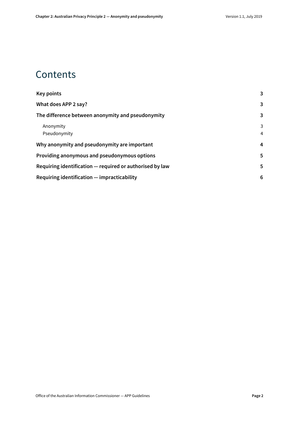### **Contents**

| Key points                                               | 3              |
|----------------------------------------------------------|----------------|
| What does APP 2 say?                                     | 3              |
| The difference between anonymity and pseudonymity        | 3              |
| Anonymity                                                | 3              |
| Pseudonymity                                             | $\overline{4}$ |
| Why anonymity and pseudonymity are important             | 4              |
| Providing anonymous and pseudonymous options             | 5              |
| Requiring identification – required or authorised by law | 5              |
| Requiring identification – impracticability              | 6              |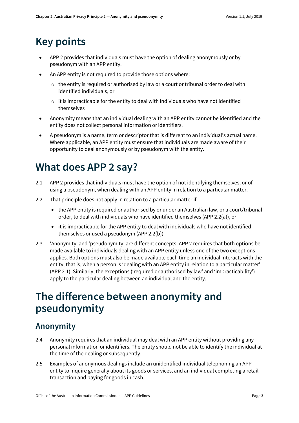# <span id="page-2-0"></span>**Key points**

- APP 2 provides that individuals must have the option of dealing anonymously or by pseudonym with an APP entity.
- An APP entity is not required to provide those options where:
	- $\circ$  the entity is required or authorised by law or a court or tribunal order to deal with identified individuals, or
	- $\circ$  it is impracticable for the entity to deal with individuals who have not identified themselves
- Anonymity means that an individual dealing with an APP entity cannot be identified and the entity does not collect personal information or identifiers.
- A pseudonym is a name, term or descriptor that is different to an individual's actual name. Where applicable, an APP entity must ensure that individuals are made aware of their opportunity to deal anonymously or by pseudonym with the entity.

# <span id="page-2-1"></span>**What does APP 2 say?**

- 2.1 APP 2 provides that individuals must have the option of not identifying themselves, or of using a pseudonym, when dealing with an APP entity in relation to a particular matter.
- 2.2 That principle does not apply in relation to a particular matter if:
	- the APP entity is required or authorised by or under an Australian law, or a court/tribunal order, to deal with individuals who have identified themselves (APP 2.2(a)), or
	- it is impracticable for the APP entity to deal with individuals who have not identified themselves or used a pseudonym (APP 2.2(b))
- 2.3 'Anonymity' and 'pseudonymity' are different concepts. APP 2 requires that both options be made available to individuals dealing with an APP entity unless one of the two exceptions applies. Both options must also be made available each time an individual interacts with the entity, that is, when a person is 'dealing with an APP entity in relation to a particular matter' (APP 2.1). Similarly, the exceptions ('required or authorised by law' and 'impracticability') apply to the particular dealing between an individual and the entity.

### <span id="page-2-2"></span>**The difference between anonymity and pseudonymity**

#### <span id="page-2-3"></span>**Anonymity**

- 2.4 Anonymity requires that an individual may deal with an APP entity without providing any personal information or identifiers. The entity should not be able to identify the individual at the time of the dealing or subsequently.
- 2.5 Examples of anonymous dealings include an unidentified individual telephoning an APP entity to inquire generally about its goods or services, and an individual completing a retail transaction and paying for goods in cash.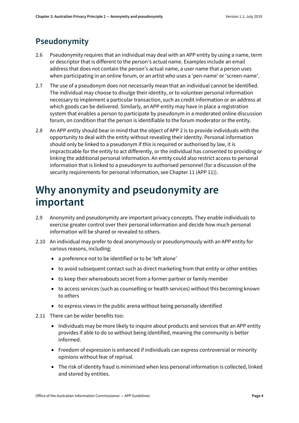#### <span id="page-3-0"></span>**Pseudonymity**

- 2.6 Pseudonymity requires that an individual may deal with an APP entity by using a name, term or descriptor that is different to the person's actual name. Examples include an email address that does not contain the person's actual name, a user name that a person uses when participating in an online forum, or an artist who uses a 'pen-name' or 'screen-name'.
- 2.7 The use of a pseudonym does not necessarily mean that an individual cannot be identified. The individual may choose to divulge their identity, or to volunteer personal information necessary to implement a particular transaction, such as credit information or an address at which goods can be delivered. Similarly, an APP entity may have in place a registration system that enables a person to participate by pseudonym in a moderated online discussion forum, on condition that the person is identifiable to the forum moderator or the entity.
- 2.8 An APP entity should bear in mind that the object of APP 2 is to provide individuals with the opportunity to deal with the entity without revealing their identity. Personal information should only be linked to a pseudonym if this is required or authorised by law, it is impracticable for the entity to act differently, or the individual has consented to providing or linking the additional personal information. An entity could also restrict access to personal information that is linked to a pseudonym to authorised personnel (for a discussion of the security requirements for personal information, see Chapter 11 (APP 11)).

### <span id="page-3-1"></span>**Why anonymity and pseudonymity are important**

- 2.9 Anonymity and pseudonymity are important privacy concepts. They enable individuals to exercise greater control over their personal information and decide how much personal information will be shared or revealed to others.
- 2.10 An individual may prefer to deal anonymously or pseudonymously with an APP entity for various reasons, including:
	- a preference not to be identified or to be 'left alone'
	- to avoid subsequent contact such as direct marketing from that entity or other entities
	- to keep their whereabouts secret from a former partner or family member
	- to access services (such as counselling or health services) without this becoming known to others
	- to express views in the public arena without being personally identified
- 2.11 There can be wider benefits too:
	- Individuals may be more likely to inquire about products and services that an APP entity provides if able to do so without being identified, meaning the community is better informed.
	- Freedom of expression is enhanced if individuals can express controversial or minority opinions without fear of reprisal.
	- The risk of identity fraud is minimised when less personal information is collected, linked and stored by entities.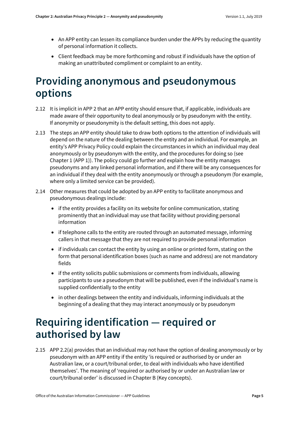- An APP entity can lessen its compliance burden under the APPs by reducing the quantity of personal information it collects.
- Client feedback may be more forthcoming and robust if individuals have the option of making an unattributed compliment or complaint to an entity.

# <span id="page-4-0"></span>**Providing anonymous and pseudonymous options**

- 2.12 It is implicit in APP 2 that an APP entity should ensure that, if applicable, individuals are made aware of their opportunity to deal anonymously or by pseudonym with the entity. If anonymity or pseudonymity is the default setting, this does not apply.
- 2.13 The steps an APP entity should take to draw both options to the attention of individuals will depend on the nature of the dealing between the entity and an individual. For example, an entity's APP Privacy Policy could explain the circumstances in which an individual may deal anonymously or by pseudonym with the entity, and the procedures for doing so (see Chapter 1 (APP 1)). The policy could go further and explain how the entity manages pseudonyms and any linked personal information, and if there will be any consequences for an individual if they deal with the entity anonymously or through a pseudonym (for example, where only a limited service can be provided).
- 2.14 Other measures that could be adopted by an APP entity to facilitate anonymous and pseudonymous dealings include:
	- if the entity provides a facility on its website for online communication, stating prominently that an individual may use that facility without providing personal information
	- if telephone calls to the entity are routed through an automated message, informing callers in that message that they are not required to provide personal information
	- if individuals can contact the entity by using an online or printed form, stating on the form that personal identification boxes (such as name and address) are not mandatory fields
	- if the entity solicits public submissions or comments from individuals, allowing participants to use a pseudonym that will be published, even if the individual's name is supplied confidentially to the entity
	- in other dealings between the entity and individuals, informing individuals at the beginning of a dealing that they may interact anonymously or by pseudonym

# <span id="page-4-1"></span>**Requiring identification — required or authorised by law**

<span id="page-4-2"></span>2.15 APP 2.2(a) provides that an individual may not have the option of dealing anonymously or by pseudonym with an APP entity if the entity 'is required or authorised by or under an Australian law, or a court/tribunal order, to deal with individuals who have identified themselves'. The meaning of 'required or authorised by or under an Australian law or court/tribunal order' is discussed in Chapter B (Key concepts).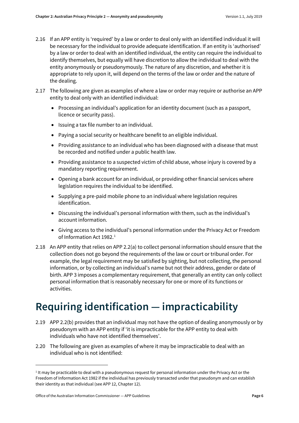- 2.16 If an APP entity is 'required' by a law or order to deal only with an identified individual it will be necessary for the individual to provide adequate identification. If an entity is 'authorised' by a law or order to deal with an identified individual, the entity can require the individual to identify themselves, but equally will have discretion to allow the individual to deal with the entity anonymously or pseudonymously. The nature of any discretion, and whether it is appropriate to rely upon it, will depend on the terms of the law or order and the nature of the dealing.
- 2.17 The following are given as examples of where a law or order may require or authorise an APP entity to deal only with an identified individual:
	- Processing an individual's application for an identity document (such as a passport, licence or security pass).
	- Issuing a tax file number to an individual.
	- Paying a social security or healthcare benefit to an eligible individual.
	- Providing assistance to an individual who has been diagnosed with a disease that must be recorded and notified under a public health law.
	- Providing assistance to a suspected victim of child abuse, whose injury is covered by a mandatory reporting requirement.
	- Opening a bank account for an individual, or providing other financial services where legislation requires the individual to be identified.
	- Supplying a pre-paid mobile phone to an individual where legislation requires identification.
	- Discussing the individual's personal information with them, such as the individual's account information.
	- Giving access to the individual's personal information under the Privacy Act or Freedom of Information Act 1982. [1](#page-5-1)
- <span id="page-5-2"></span>2.18 An APP entity that relies on APP 2.2(a) to collect personal information should ensure that the collection does not go beyond the requirements of the law or court or tribunal order. For example, the legal requirement may be satisfied by sighting, but not collecting, the personal information, or by collecting an individual's name but not their address, gender or date of birth. APP 3 imposes a complementary requirement, that generally an entity can only collect personal information that is reasonably necessary for one or more of its functions or activities.

# <span id="page-5-0"></span>**Requiring identification — impracticability**

- 2.19 APP 2.2(b) provides that an individual may not have the option of dealing anonymously or by pseudonym with an APP entity if 'it is impracticable for the APP entity to deal with individuals who have not identified themselves'.
- 2.20 The following are given as examples of where it may be impracticable to deal with an individual who is not identified:

**.** 

<span id="page-5-1"></span> $1$  It may be practicable to deal with a pseudonymous request for personal information under the Privacy Act or the Freedom of Information Act 1982 if the individual has previously transacted under that pseudonym and can establish their identity as that individual (see APP 12, Chapter 12).